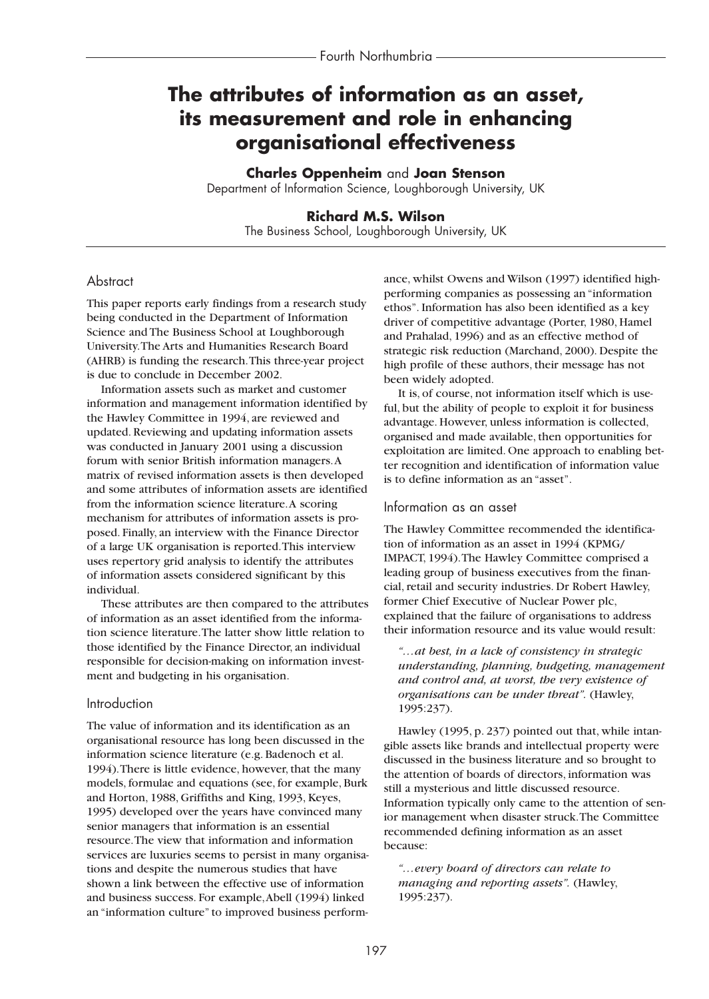# **The attributes of information as an asset, its measurement and role in enhancing organisational effectiveness**

**Charles Oppenheim** and **Joan Stenson** Department of Information Science, Loughborough University, UK

# **Richard M.S. Wilson**

The Business School, Loughborough University, UK

## **Abstract**

This paper reports early findings from a research study being conducted in the Department of Information Science and The Business School at Loughborough University.The Arts and Humanities Research Board (AHRB) is funding the research.This three-year project is due to conclude in December 2002.

Information assets such as market and customer information and management information identified by the Hawley Committee in 1994, are reviewed and updated. Reviewing and updating information assets was conducted in January 2001 using a discussion forum with senior British information managers.A matrix of revised information assets is then developed and some attributes of information assets are identified from the information science literature.A scoring mechanism for attributes of information assets is proposed. Finally, an interview with the Finance Director of a large UK organisation is reported.This interview uses repertory grid analysis to identify the attributes of information assets considered significant by this individual.

These attributes are then compared to the attributes of information as an asset identified from the information science literature.The latter show little relation to those identified by the Finance Director, an individual responsible for decision-making on information investment and budgeting in his organisation.

#### Introduction

The value of information and its identification as an organisational resource has long been discussed in the information science literature (e.g. Badenoch et al. 1994).There is little evidence, however, that the many models, formulae and equations (see, for example, Burk and Horton, 1988, Griffiths and King, 1993, Keyes, 1995) developed over the years have convinced many senior managers that information is an essential resource.The view that information and information services are luxuries seems to persist in many organisations and despite the numerous studies that have shown a link between the effective use of information and business success. For example,Abell (1994) linked an "information culture" to improved business performance, whilst Owens and Wilson (1997) identified highperforming companies as possessing an "information ethos". Information has also been identified as a key driver of competitive advantage (Porter, 1980, Hamel and Prahalad, 1996) and as an effective method of strategic risk reduction (Marchand, 2000). Despite the high profile of these authors, their message has not been widely adopted.

It is, of course, not information itself which is useful, but the ability of people to exploit it for business advantage. However, unless information is collected, organised and made available, then opportunities for exploitation are limited. One approach to enabling better recognition and identification of information value is to define information as an "asset".

#### Information as an asset

The Hawley Committee recommended the identification of information as an asset in 1994 (KPMG/ IMPACT, 1994).The Hawley Committee comprised a leading group of business executives from the financial, retail and security industries. Dr Robert Hawley, former Chief Executive of Nuclear Power plc, explained that the failure of organisations to address their information resource and its value would result:

*"…at best, in a lack of consistency in strategic understanding, planning, budgeting, management and control and, at worst, the very existence of organisations can be under threat".* (Hawley, 1995:237).

Hawley (1995, p. 237) pointed out that, while intangible assets like brands and intellectual property were discussed in the business literature and so brought to the attention of boards of directors, information was still a mysterious and little discussed resource. Information typically only came to the attention of senior management when disaster struck.The Committee recommended defining information as an asset because:

*"…every board of directors can relate to managing and reporting assets".* (Hawley, 1995:237).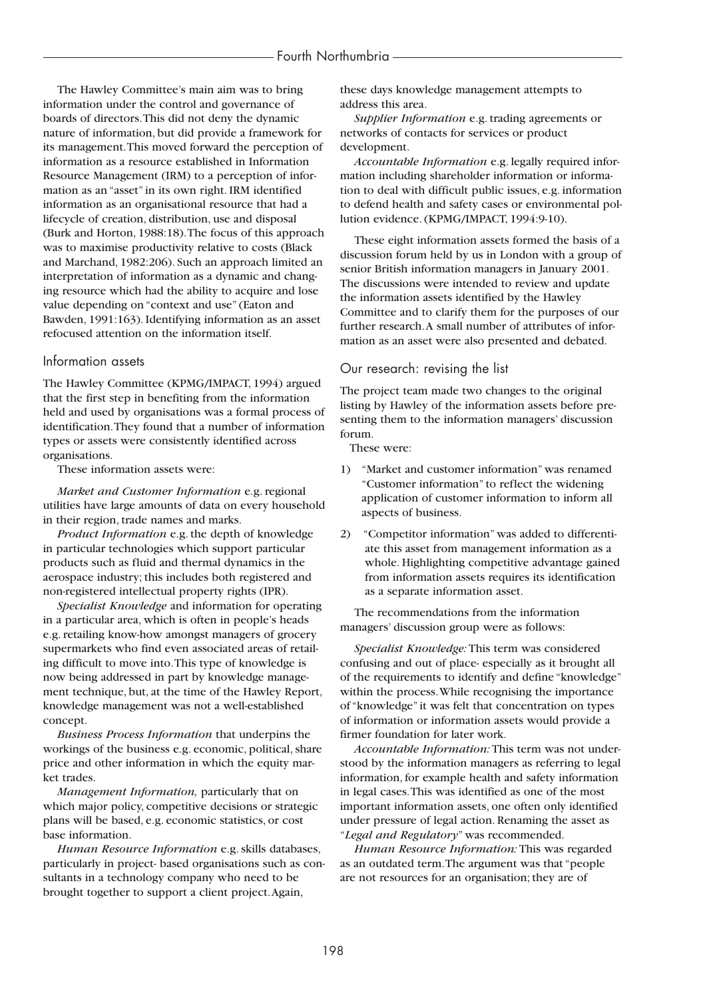The Hawley Committee's main aim was to bring information under the control and governance of boards of directors.This did not deny the dynamic nature of information, but did provide a framework for its management.This moved forward the perception of information as a resource established in Information Resource Management (IRM) to a perception of information as an "asset" in its own right. IRM identified information as an organisational resource that had a lifecycle of creation, distribution, use and disposal (Burk and Horton, 1988:18).The focus of this approach was to maximise productivity relative to costs (Black and Marchand, 1982:206). Such an approach limited an interpretation of information as a dynamic and changing resource which had the ability to acquire and lose value depending on "context and use" (Eaton and Bawden, 1991:163). Identifying information as an asset refocused attention on the information itself.

#### Information assets

The Hawley Committee (KPMG/IMPACT, 1994) argued that the first step in benefiting from the information held and used by organisations was a formal process of identification.They found that a number of information types or assets were consistently identified across organisations.

These information assets were:

*Market and Customer Information* e.g. regional utilities have large amounts of data on every household in their region, trade names and marks.

*Product Information* e.g. the depth of knowledge in particular technologies which support particular products such as fluid and thermal dynamics in the aerospace industry; this includes both registered and non-registered intellectual property rights (IPR).

*Specialist Knowledge* and information for operating in a particular area, which is often in people's heads e.g. retailing know-how amongst managers of grocery supermarkets who find even associated areas of retailing difficult to move into.This type of knowledge is now being addressed in part by knowledge management technique, but, at the time of the Hawley Report, knowledge management was not a well-established concept.

*Business Process Information* that underpins the workings of the business e.g. economic, political, share price and other information in which the equity market trades.

*Management Information,* particularly that on which major policy, competitive decisions or strategic plans will be based, e.g. economic statistics, or cost base information.

*Human Resource Information* e.g. skills databases, particularly in project- based organisations such as consultants in a technology company who need to be brought together to support a client project.Again,

these days knowledge management attempts to address this area.

*Supplier Information* e.g. trading agreements or networks of contacts for services or product development.

*Accountable Information* e.g. legally required information including shareholder information or information to deal with difficult public issues, e.g. information to defend health and safety cases or environmental pollution evidence. (KPMG/IMPACT, 1994:9-10).

These eight information assets formed the basis of a discussion forum held by us in London with a group of senior British information managers in January 2001. The discussions were intended to review and update the information assets identified by the Hawley Committee and to clarify them for the purposes of our further research.A small number of attributes of information as an asset were also presented and debated.

# Our research: revising the list

The project team made two changes to the original listing by Hawley of the information assets before presenting them to the information managers' discussion forum.

These were:

- 1) "Market and customer information" was renamed "Customer information" to reflect the widening application of customer information to inform all aspects of business.
- 2) "Competitor information" was added to differentiate this asset from management information as a whole. Highlighting competitive advantage gained from information assets requires its identification as a separate information asset.

The recommendations from the information managers' discussion group were as follows:

*Specialist Knowledge:* This term was considered confusing and out of place- especially as it brought all of the requirements to identify and define "knowledge" within the process.While recognising the importance of "knowledge" it was felt that concentration on types of information or information assets would provide a firmer foundation for later work.

*Accountable Information:* This term was not understood by the information managers as referring to legal information, for example health and safety information in legal cases.This was identified as one of the most important information assets, one often only identified under pressure of legal action. Renaming the asset as "*Legal and Regulatory*" was recommended.

*Human Resource Information:* This was regarded as an outdated term.The argument was that "people are not resources for an organisation; they are of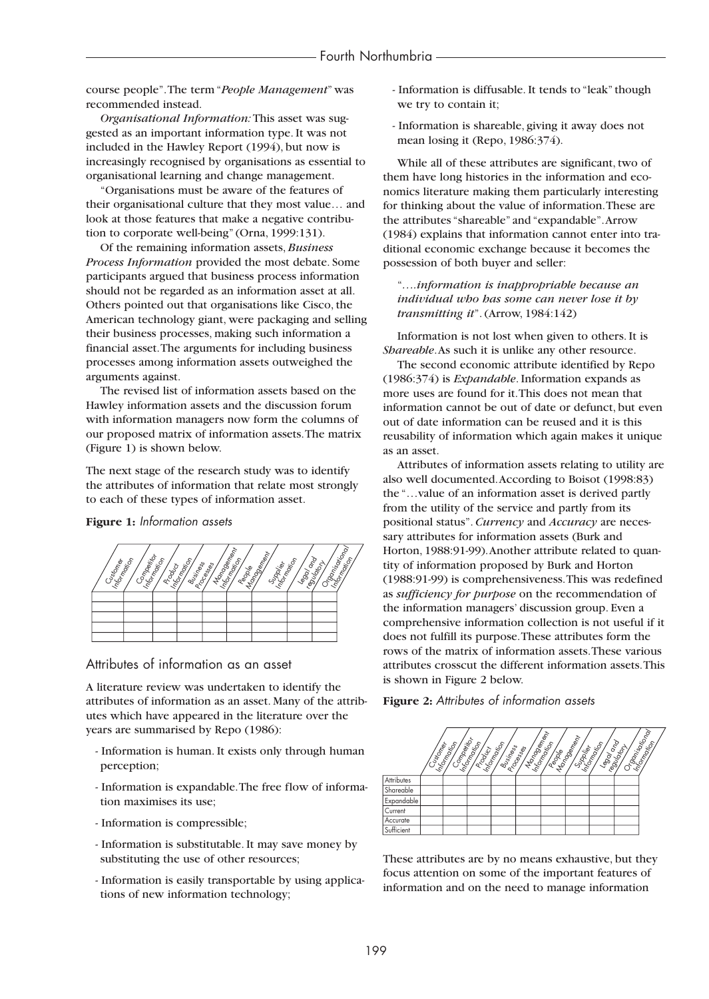course people".The term "*People Management*" was recommended instead.

*Organisational Information:* This asset was suggested as an important information type. It was not included in the Hawley Report (1994), but now is increasingly recognised by organisations as essential to organisational learning and change management.

"Organisations must be aware of the features of their organisational culture that they most value… and look at those features that make a negative contribution to corporate well-being" (Orna, 1999:131).

Of the remaining information assets, *Business Process Information* provided the most debate. Some participants argued that business process information should not be regarded as an information asset at all. Others pointed out that organisations like Cisco, the American technology giant, were packaging and selling their business processes, making such information a financial asset.The arguments for including business processes among information assets outweighed the arguments against.

The revised list of information assets based on the Hawley information assets and the discussion forum with information managers now form the columns of our proposed matrix of information assets.The matrix (Figure 1) is shown below.

The next stage of the research study was to identify the attributes of information that relate most strongly to each of these types of information asset.

#### **Figure 1:** *Information assets*



Attributes of information as an asset

A literature review was undertaken to identify the attributes of information as an asset. Many of the attributes which have appeared in the literature over the years are summarised by Repo (1986):

- Information is human. It exists only through human perception;
- Information is expandable.The free flow of information maximises its use;
- Information is compressible;
- Information is substitutable. It may save money by substituting the use of other resources;
- Information is easily transportable by using applications of new information technology;
- Information is diffusable. It tends to "leak" though we try to contain it;
- Information is shareable, giving it away does not mean losing it (Repo, 1986:374).

While all of these attributes are significant, two of them have long histories in the information and economics literature making them particularly interesting for thinking about the value of information.These are the attributes "shareable" and "expandable".Arrow (1984) explains that information cannot enter into traditional economic exchange because it becomes the possession of both buyer and seller:

"*….information is inappropriable because an individual who has some can never lose it by transmitting it*". (Arrow, 1984:142)

Information is not lost when given to others. It is *Shareable*.As such it is unlike any other resource.

The second economic attribute identified by Repo (1986:374) is *Expandable*. Information expands as more uses are found for it.This does not mean that information cannot be out of date or defunct, but even out of date information can be reused and it is this reusability of information which again makes it unique as an asset.

Attributes of information assets relating to utility are also well documented.According to Boisot (1998:83) the "…value of an information asset is derived partly from the utility of the service and partly from its positional status". *Currency* and *Accuracy* are necessary attributes for information assets (Burk and Horton, 1988:91-99).Another attribute related to quantity of information proposed by Burk and Horton (1988:91-99) is comprehensiveness.This was redefined as *sufficiency for purpose* on the recommendation of the information managers' discussion group. Even a comprehensive information collection is not useful if it does not fulfill its purpose.These attributes form the rows of the matrix of information assets.These various attributes crosscut the different information assets.This is shown in Figure 2 below.

**Figure 2:** *Attributes of information assets*



These attributes are by no means exhaustive, but they focus attention on some of the important features of information and on the need to manage information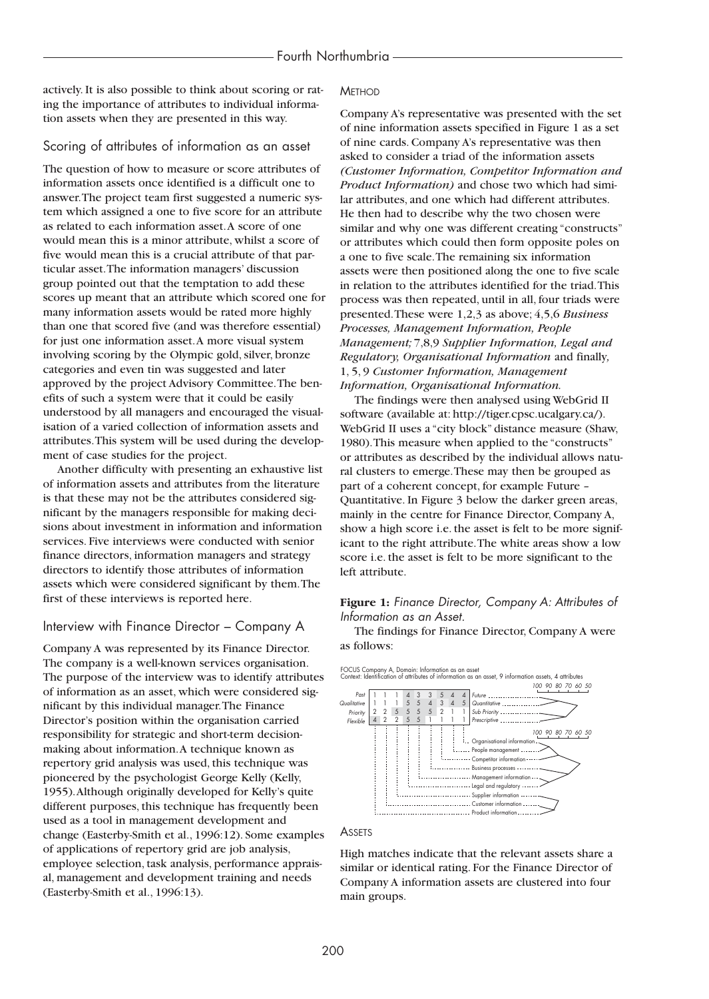actively. It is also possible to think about scoring or rating the importance of attributes to individual information assets when they are presented in this way.

# Scoring of attributes of information as an asset

The question of how to measure or score attributes of information assets once identified is a difficult one to answer.The project team first suggested a numeric system which assigned a one to five score for an attribute as related to each information asset.A score of one would mean this is a minor attribute, whilst a score of five would mean this is a crucial attribute of that particular asset.The information managers' discussion group pointed out that the temptation to add these scores up meant that an attribute which scored one for many information assets would be rated more highly than one that scored five (and was therefore essential) for just one information asset.A more visual system involving scoring by the Olympic gold, silver, bronze categories and even tin was suggested and later approved by the project Advisory Committee.The benefits of such a system were that it could be easily understood by all managers and encouraged the visualisation of a varied collection of information assets and attributes.This system will be used during the development of case studies for the project.

Another difficulty with presenting an exhaustive list of information assets and attributes from the literature is that these may not be the attributes considered significant by the managers responsible for making decisions about investment in information and information services. Five interviews were conducted with senior finance directors, information managers and strategy directors to identify those attributes of information assets which were considered significant by them.The first of these interviews is reported here.

## Interview with Finance Director – Company A

Company A was represented by its Finance Director. The company is a well-known services organisation. The purpose of the interview was to identify attributes of information as an asset, which were considered significant by this individual manager.The Finance Director's position within the organisation carried responsibility for strategic and short-term decisionmaking about information.A technique known as repertory grid analysis was used, this technique was pioneered by the psychologist George Kelly (Kelly, 1955).Although originally developed for Kelly's quite different purposes, this technique has frequently been used as a tool in management development and change (Easterby-Smith et al., 1996:12). Some examples of applications of repertory grid are job analysis, employee selection, task analysis, performance appraisal, management and development training and needs (Easterby-Smith et al., 1996:13).

#### **METHOD**

Company A's representative was presented with the set of nine information assets specified in Figure 1 as a set of nine cards. Company A's representative was then asked to consider a triad of the information assets *(Customer Information, Competitor Information and Product Information)* and chose two which had similar attributes, and one which had different attributes. He then had to describe why the two chosen were similar and why one was different creating "constructs" or attributes which could then form opposite poles on a one to five scale.The remaining six information assets were then positioned along the one to five scale in relation to the attributes identified for the triad.This process was then repeated, until in all, four triads were presented.These were 1,2,3 as above; 4,5,6 *Business Processes, Management Information, People Management;* 7,8,9 *Supplier Information, Legal and Regulatory, Organisational Information* and finally*,* 1, 5, 9 *Customer Information, Management Information, Organisational Information.*

The findings were then analysed using WebGrid II software (available at: http://tiger.cpsc.ucalgary.ca/). WebGrid II uses a "city block" distance measure (Shaw, 1980).This measure when applied to the "constructs" or attributes as described by the individual allows natural clusters to emerge.These may then be grouped as part of a coherent concept, for example Future – Quantitative. In Figure 3 below the darker green areas, mainly in the centre for Finance Director, Company A, show a high score i.e. the asset is felt to be more significant to the right attribute.The white areas show a low score i.e. the asset is felt to be more significant to the left attribute.

## **Figure 1:** *Finance Director, Company A: Attributes of Information as an Asset.*

The findings for Finance Director, Company A were as follows:



#### **ASSETS**

High matches indicate that the relevant assets share a similar or identical rating. For the Finance Director of Company A information assets are clustered into four main groups.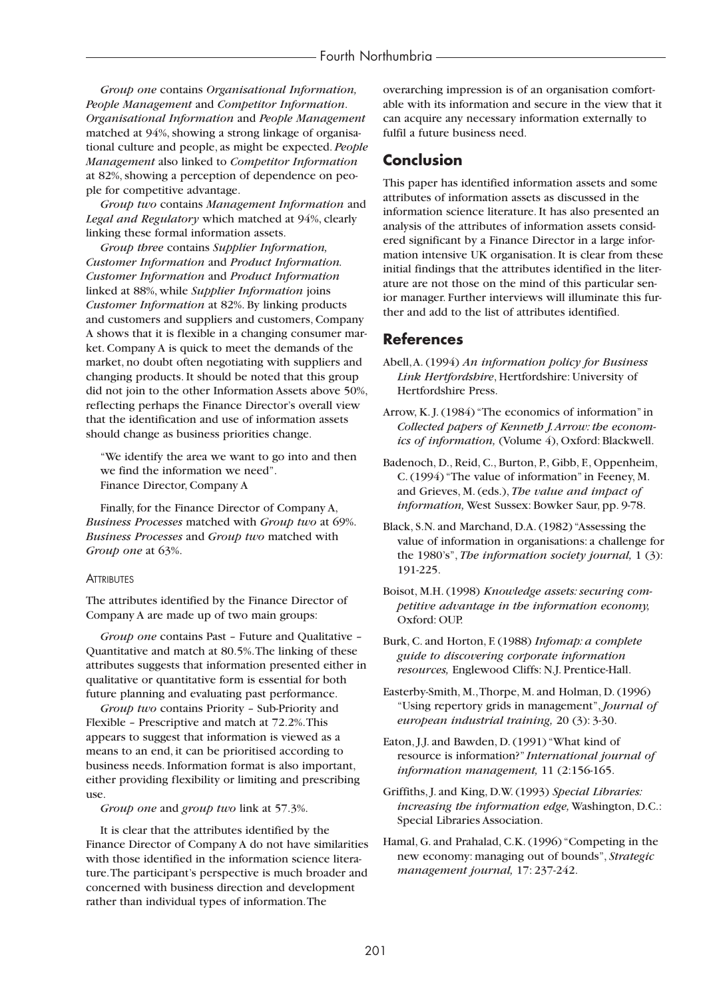*Group one* contains *Organisational Information, People Management* and *Competitor Information*. *Organisational Information* and *People Management* matched at 94%, showing a strong linkage of organisational culture and people, as might be expected. *People Management* also linked to *Competitor Information* at 82%, showing a perception of dependence on people for competitive advantage.

*Group two* contains *Management Information* and *Legal and Regulatory* which matched at 94%, clearly linking these formal information assets.

*Group three* contains *Supplier Information, Customer Information* and *Product Information. Customer Information* and *Product Information* linked at 88%, while *Supplier Information* joins *Customer Information* at 82%. By linking products and customers and suppliers and customers, Company A shows that it is flexible in a changing consumer market. Company A is quick to meet the demands of the market, no doubt often negotiating with suppliers and changing products. It should be noted that this group did not join to the other Information Assets above 50%, reflecting perhaps the Finance Director's overall view that the identification and use of information assets should change as business priorities change.

"We identify the area we want to go into and then we find the information we need". Finance Director, Company A

Finally, for the Finance Director of Company A, *Business Processes* matched with *Group two* at 69%. *Business Processes* and *Group two* matched with *Group one* at 63%.

#### **ATTRIBUTES**

The attributes identified by the Finance Director of Company A are made up of two main groups:

*Group one* contains Past – Future and Qualitative – Quantitative and match at 80.5%.The linking of these attributes suggests that information presented either in qualitative or quantitative form is essential for both future planning and evaluating past performance.

*Group two* contains Priority – Sub-Priority and Flexible – Prescriptive and match at 72.2%.This appears to suggest that information is viewed as a means to an end, it can be prioritised according to business needs. Information format is also important, either providing flexibility or limiting and prescribing use.

*Group one* and *group two* link at 57.3%.

It is clear that the attributes identified by the Finance Director of Company A do not have similarities with those identified in the information science literature.The participant's perspective is much broader and concerned with business direction and development rather than individual types of information.The

overarching impression is of an organisation comfortable with its information and secure in the view that it can acquire any necessary information externally to fulfil a future business need.

# **Conclusion**

This paper has identified information assets and some attributes of information assets as discussed in the information science literature. It has also presented an analysis of the attributes of information assets considered significant by a Finance Director in a large information intensive UK organisation. It is clear from these initial findings that the attributes identified in the literature are not those on the mind of this particular senior manager. Further interviews will illuminate this further and add to the list of attributes identified.

# **References**

- Abell,A. (1994) *An information policy for Business Link Hertfordshire*, Hertfordshire: University of Hertfordshire Press.
- Arrow, K. J. (1984) "The economics of information" in *Collected papers of Kenneth J.Arrow: the econom*ics of information, (Volume 4), Oxford: Blackwell.
- Badenoch, D., Reid, C., Burton, P., Gibb, F., Oppenheim, C. (1994) "The value of information" in Feeney, M. and Grieves, M. (eds.), *The value and impact of information,* West Sussex: Bowker Saur, pp. 9-78.
- Black, S.N. and Marchand, D.A. (1982) "Assessing the value of information in organisations: a challenge for the 1980's", *The information society journal,* 1 (3): 191-225.
- Boisot, M.H. (1998) *Knowledge assets: securing competitive advantage in the information economy,* Oxford: OUP.
- Burk, C. and Horton, F. (1988) *Infomap: a complete guide to discovering corporate information resources,* Englewood Cliffs: N.J. Prentice-Hall.
- Easterby-Smith, M.,Thorpe, M. and Holman, D. (1996) "Using repertory grids in management",*Journal of european industrial training,* 20 (3): 3-30.

Eaton, J.J. and Bawden, D. (1991) "What kind of resource is information?" *International journal of information management,* 11 (2:156-165.

- Griffiths, J. and King, D.W. (1993) *Special Libraries: increasing the information edge,* Washington, D.C.: Special Libraries Association.
- Hamal, G. and Prahalad, C.K. (1996) "Competing in the new economy: managing out of bounds", *Strategic management journal,* 17: 237-242.